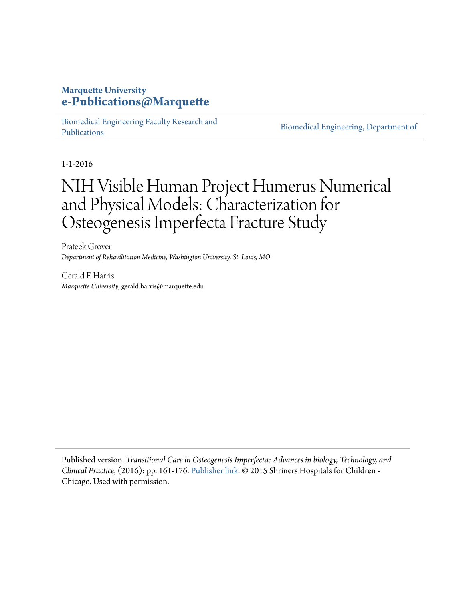### **Marquette University [e-Publications@Marquette](https://epublications.marquette.edu)**

[Biomedical Engineering Faculty Research and](https://epublications.marquette.edu/bioengin_fac) [Publications](https://epublications.marquette.edu/bioengin_fac)

[Biomedical Engineering, Department of](https://epublications.marquette.edu/bioengin)

1-1-2016

# NIH Visible Human Project Humerus Numerical and Physical Models: Characterization for Osteogenesis Imperfecta Fracture Study

Prateek Grover *Department of Rehavilitation Medicine, Washington University, St. Louis, MO*

Gerald F. Harris *Marquette University*, gerald.harris@marquette.edu

Published version. *Transitional Care in Osteogenesis Imperfecta: Advances in biology, Technology, and Clinical Practice*, (2016): pp. 161-176. [Publisher link.](https://www.shrinershospitalsforchildren.org/chicago/medical-research) © 2015 Shriners Hospitals for Children - Chicago. Used with permission.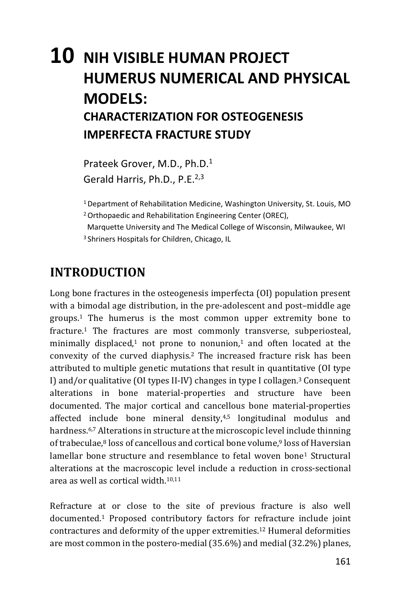## 10 NIH VISIBLE HUMAN PROJECT **HUMERUS NUMERICAL AND PHYSICAL MODFLS: CHARACTERIZATION FOR OSTEOGENESIS IMPERFECTA FRACTURE STUDY**

Prateek Grover, M.D., Ph.D.<sup>1</sup> Gerald Harris, Ph.D., P.E.<sup>2,3</sup>

<sup>1</sup> Department of Rehabilitation Medicine, Washington University, St. Louis, MO

<sup>2</sup> Orthopaedic and Rehabilitation Engineering Center (OREC),

Marquette University and The Medical College of Wisconsin, Milwaukee, WI <sup>3</sup> Shriners Hospitals for Children, Chicago, IL

### **INTRODUCTION**

Long bone fractures in the osteogenesis imperfecta (OI) population present with a bimodal age distribution, in the pre-adolescent and post-middle age groups.<sup>1</sup> The humerus is the most common upper extremity bone to fracture.<sup>1</sup> The fractures are most commonly transverse, subperiosteal, minimally displaced,<sup>1</sup> not prone to nonunion,<sup>1</sup> and often located at the convexity of the curved diaphysis.<sup>2</sup> The increased fracture risk has been attributed to multiple genetic mutations that result in quantitative (OI type) I) and/or qualitative (OI types II-IV) changes in type I collagen.<sup>3</sup> Consequent alterations in bone material-properties and structure have been documented. The major cortical and cancellous bone material-properties affected include bone mineral density,<sup>4,5</sup> longitudinal modulus and hardness.<sup>6,7</sup> Alterations in structure at the microscopic level include thinning of trabeculae,<sup>8</sup> loss of cancellous and cortical bone volume,<sup>9</sup> loss of Haversian lamellar bone structure and resemblance to fetal woven bone<sup>1</sup> Structural alterations at the macroscopic level include a reduction in cross-sectional area as well as cortical width.<sup>10,11</sup>

Refracture at or close to the site of previous fracture is also well documented.<sup>1</sup> Proposed contributory factors for refracture include joint contractures and deformity of the upper extremities.<sup>12</sup> Humeral deformities are most common in the postero-medial (35.6%) and medial (32.2%) planes,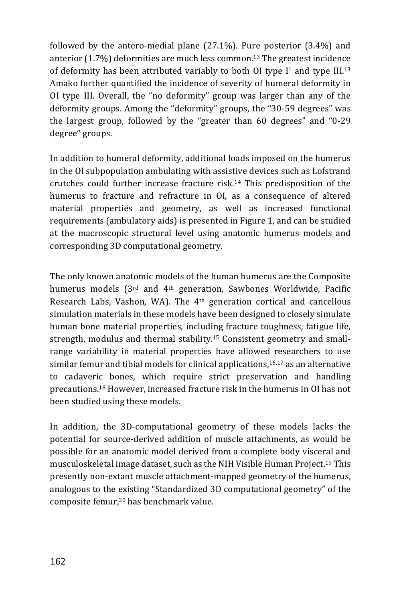followed by the antero-medial plane (27.1%). Pure posterior (3.4%) and anterior  $(1.7%)$  deformities are much less common.<sup>13</sup> The greatest incidence of deformity has been attributed variably to both OI type  $I<sup>1</sup>$  and type III.<sup>13</sup> Amako further quantified the incidence of severity of humeral deformity in OI type III. Overall, the "no deformity" group was larger than any of the deformity groups. Among the "deformity" groups, the "30-59 degrees" was the largest group, followed by the "greater than 60 degrees" and "0-29 degree" groups.

In addition to humeral deformity, additional loads imposed on the humerus in the OI subpopulation ambulating with assistive devices such as Lofstrand crutches could further increase fracture risk.<sup>14</sup> This predisposition of the humerus to fracture and refracture in OI, as a consequence of altered material properties and geometry, as well as increased functional requirements (ambulatory aids) is presented in Figure 1, and can be studied at the macroscopic structural level using anatomic humerus models and corresponding 3D computational geometry.

The only known anatomic models of the human humerus are the Composite humerus models (3<sup>rd</sup> and 4<sup>th</sup> generation, Sawbones Worldwide, Pacific Research Labs, Vashon, WA). The 4<sup>th</sup> generation cortical and cancellous simulation materials in these models have been designed to closely simulate human bone material properties, including fracture toughness, fatigue life, strength, modulus and thermal stability.<sup>15</sup> Consistent geometry and smallrange variability in material properties have allowed researchers to use similar femur and tibial models for clinical applications,<sup>16,17</sup> as an alternative to cadaveric bones, which require strict preservation and handling precautions.<sup>18</sup> However, increased fracture risk in the humerus in OI has not been studied using these models.

In addition, the 3D-computational geometry of these models lacks the potential for source-derived addition of muscle attachments, as would be possible for an anatomic model derived from a complete body visceral and musculoskeletal image dataset, such as the NIH Visible Human Project.<sup>19</sup> This presently non-extant muscle attachment-mapped geometry of the humerus, analogous to the existing "Standardized 3D computational geometry" of the composite femur,<sup>20</sup> has benchmark value.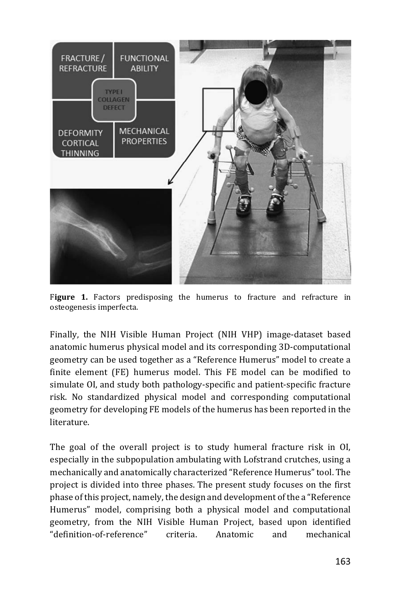

Figure 1. Factors predisposing the humerus to fracture and refracture in osteogenesis imperfecta.

Finally, the NIH Visible Human Project (NIH VHP) image-dataset based anatomic humerus physical model and its corresponding 3D-computational geometry can be used together as a "Reference Humerus" model to create a finite element (FE) humerus model. This FE model can be modified to simulate OI, and study both pathology-specific and patient-specific fracture risk. No standardized physical model and corresponding computational geometry for developing FE models of the humerus has been reported in the literature

The goal of the overall project is to study humeral fracture risk in OI, especially in the subpopulation ambulating with Lofstrand crutches, using a mechanically and anatomically characterized "Reference Humerus" tool. The project is divided into three phases. The present study focuses on the first phase of this project, namely, the design and development of the a "Reference" Humerus" model, comprising both a physical model and computational geometry, from the NIH Visible Human Project, based upon identified "definition-of-reference" criteria. Anatomic and mechanical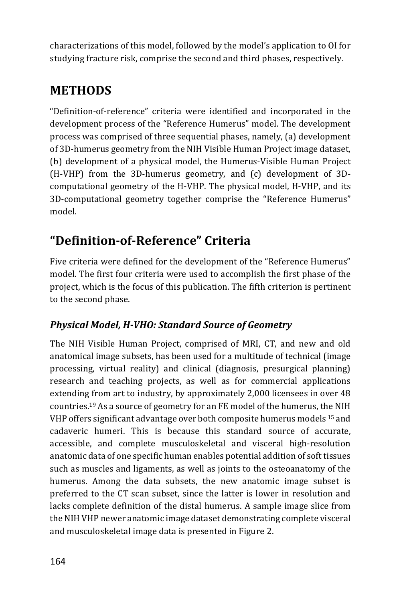characterizations of this model, followed by the model's application to OI for studying fracture risk, comprise the second and third phases, respectively.

### **METHODS**

"Definition-of-reference" criteria were identified and incorporated in the development process of the "Reference Humerus" model. The development process was comprised of three sequential phases, namely, (a) development of 3D-humerus geometry from the NIH Visible Human Project image dataset, (b) development of a physical model, the Humerus-Visible Human Project (H-VHP) from the 3D-humerus geometry, and (c) development of 3Dcomputational geometry of the H-VHP. The physical model, H-VHP, and its 3D-computational geometry together comprise the "Reference Humerus" model

### "Definition-of-Reference" Criteria

Five criteria were defined for the development of the "Reference Humerus" model. The first four criteria were used to accomplish the first phase of the project, which is the focus of this publication. The fifth criterion is pertinent to the second phase.

#### **Physical Model, H-VHO: Standard Source of Geometry**

The NIH Visible Human Project, comprised of MRI, CT, and new and old anatomical image subsets, has been used for a multitude of technical (image processing, virtual reality) and clinical (diagnosis, presurgical planning) research and teaching projects, as well as for commercial applications extending from art to industry, by approximately 2,000 licensees in over 48 countries.<sup>19</sup> As a source of geometry for an FE model of the humerus, the NIH VHP offers significant advantage over both composite humerus models <sup>15</sup> and cadaveric humeri. This is because this standard source of accurate. accessible, and complete musculoskeletal and visceral high-resolution anatomic data of one specific human enables potential addition of soft tissues such as muscles and ligaments, as well as joints to the osteoanatomy of the humerus. Among the data subsets, the new anatomic image subset is preferred to the CT scan subset, since the latter is lower in resolution and lacks complete definition of the distal humerus. A sample image slice from the NIH VHP newer anatomic image dataset demonstrating complete visceral and musculoskeletal image data is presented in Figure 2.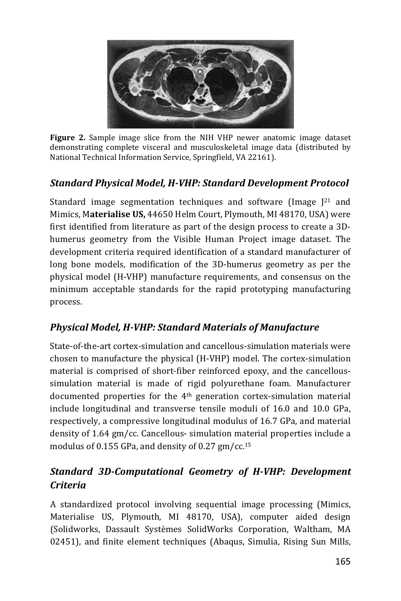

Figure 2. Sample image slice from the NIH VHP newer anatomic image dataset demonstrating complete visceral and musculoskeletal image data (distributed by National Technical Information Service, Springfield, VA 22161).

#### **Standard Physical Model, H-VHP: Standard Development Protocol**

Standard image segmentation techniques and software (Image  $[21]$  and Mimics, Materialise US, 44650 Helm Court, Plymouth, MI 48170, USA) were first identified from literature as part of the design process to create a 3Dhumerus geometry from the Visible Human Project image dataset. The development criteria required identification of a standard manufacturer of long bone models, modification of the 3D-humerus geometry as per the physical model (H-VHP) manufacture requirements, and consensus on the minimum acceptable standards for the rapid prototyping manufacturing process.

#### **Physical Model, H-VHP: Standard Materials of Manufacture**

State-of-the-art cortex-simulation and cancellous-simulation materials were chosen to manufacture the physical (H-VHP) model. The cortex-simulation material is comprised of short-fiber reinforced epoxy, and the cancelloussimulation material is made of rigid polyurethane foam. Manufacturer documented properties for the 4<sup>th</sup> generation cortex-simulation material include longitudinal and transverse tensile moduli of 16.0 and 10.0 GPa, respectively, a compressive longitudinal modulus of 16.7 GPa, and material density of 1.64 gm/cc. Cancellous- simulation material properties include a modulus of 0.155 GPa, and density of 0.27 gm/cc.<sup>15</sup>

#### **Standard 3D-Computational Geometry of H-VHP: Development Criteria**

A standardized protocol involving sequential image processing (Mimics, Materialise US, Plymouth, MI 48170, USA), computer aided design (Solidworks, Dassault Systèmes SolidWorks Corporation, Waltham, MA 02451), and finite element techniques (Abaqus, Simulia, Rising Sun Mills,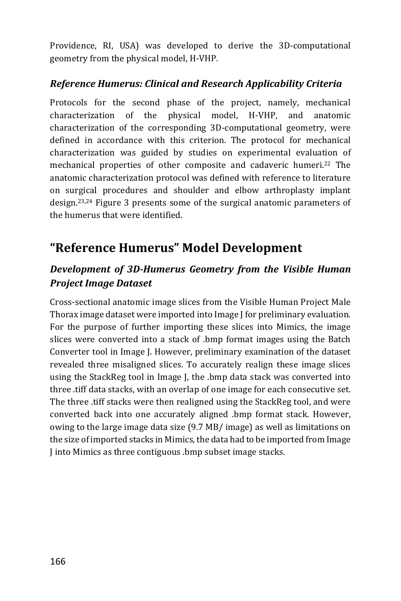Providence, RI, USA) was developed to derive the 3D-computational geometry from the physical model, H-VHP.

#### Reference Humerus: Clinical and Research Applicability Criteria

Protocols for the second phase of the project, namely, mechanical physical model, H-VHP, characterization of the and anatomic characterization of the corresponding 3D-computational geometry, were defined in accordance with this criterion. The protocol for mechanical characterization was guided by studies on experimental evaluation of mechanical properties of other composite and cadaveric humeri.<sup>22</sup> The anatomic characterization protocol was defined with reference to literature on surgical procedures and shoulder and elbow arthroplasty implant design.<sup>23,24</sup> Figure 3 presents some of the surgical anatomic parameters of the humerus that were identified.

### "Reference Humerus" Model Development

#### Development of 3D-Humerus Geometry from the Visible Human **Project Image Dataset**

Cross-sectional anatomic image slices from the Visible Human Project Male Thorax image dataset were imported into Image I for preliminary evaluation. For the purpose of further importing these slices into Mimics, the image slices were converted into a stack of .bmp format images using the Batch Converter tool in Image J. However, preliminary examination of the dataset revealed three misaligned slices. To accurately realign these image slices using the StackReg tool in Image J, the .bmp data stack was converted into three .tiff data stacks, with an overlap of one image for each consecutive set. The three tiff stacks were then realigned using the StackReg tool, and were converted back into one accurately aligned .bmp format stack. However, owing to the large image data size (9.7 MB/ image) as well as limitations on the size of imported stacks in Mimics, the data had to be imported from Image I into Mimics as three contiguous .bmp subset image stacks.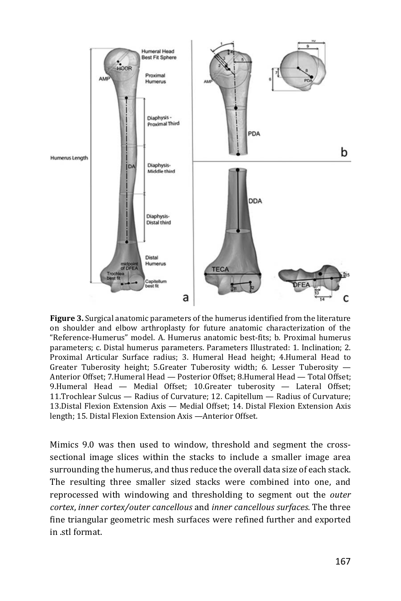

Figure 3. Surgical anatomic parameters of the humerus identified from the literature on shoulder and elbow arthroplasty for future anatomic characterization of the "Reference-Humerus" model. A. Humerus anatomic best-fits; b. Proximal humerus parameters; c. Distal humerus parameters. Parameters Illustrated: 1. Inclination; 2. Proximal Articular Surface radius; 3. Humeral Head height; 4. Humeral Head to Greater Tuberosity height; 5.Greater Tuberosity width; 6. Lesser Tuberosity -Anterior Offset; 7. Humeral Head - Posterior Offset; 8. Humeral Head - Total Offset; 9.Humeral Head - Medial Offset; 10.Greater tuberosity - Lateral Offset; 11. Trochlear Sulcus — Radius of Curvature; 12. Capitellum — Radius of Curvature; 13. Distal Flexion Extension Axis — Medial Offset: 14. Distal Flexion Extension Axis length; 15. Distal Flexion Extension Axis - Anterior Offset.

Mimics 9.0 was then used to window, threshold and segment the crosssectional image slices within the stacks to include a smaller image area surrounding the humerus, and thus reduce the overall data size of each stack. The resulting three smaller sized stacks were combined into one, and reprocessed with windowing and thresholding to segment out the *outer* cortex, inner cortex/outer cancellous and inner cancellous surfaces. The three fine triangular geometric mesh surfaces were refined further and exported in stl format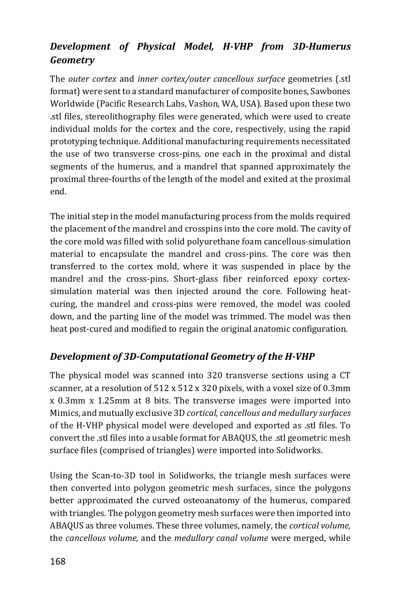#### Development of Physical Model, H-VHP from 3D-Humerus Geometry

The outer cortex and inner cortex/outer cancellous surface geometries (.stl format) were sent to a standard manufacturer of composite bones, Sawbones Worldwide (Pacific Research Labs, Vashon, WA, USA). Based upon these two stl files, stereolithography files were generated, which were used to create individual molds for the cortex and the core, respectively, using the rapid prototyping technique. Additional manufacturing requirements necessitated the use of two transverse cross-pins, one each in the proximal and distal segments of the humerus, and a mandrel that spanned approximately the proximal three-fourths of the length of the model and exited at the proximal end.

The initial step in the model manufacturing process from the molds required the placement of the mandrel and crosspins into the core mold. The cavity of the core mold was filled with solid polyurethane foam cancellous-simulation material to encapsulate the mandrel and cross-pins. The core was then transferred to the cortex mold, where it was suspended in place by the mandrel and the cross-pins. Short-glass fiber reinforced epoxy cortexsimulation material was then injected around the core. Following heatcuring, the mandrel and cross-pins were removed, the model was cooled down, and the parting line of the model was trimmed. The model was then heat post-cured and modified to regain the original anatomic configuration.

#### Development of 3D-Computational Geometry of the H-VHP

The physical model was scanned into 320 transverse sections using a CT scanner, at a resolution of 512 x 512 x 320 pixels, with a voxel size of 0.3mm x 0.3mm x 1.25mm at 8 bits. The transverse images were imported into Mimics, and mutually exclusive 3D cortical, cancellous and medullary surfaces of the H-VHP physical model were developed and exported as .stl files. To convert the stl files into a usable format for ABAQUS, the stl geometric mesh surface files (comprised of triangles) were imported into Solidworks.

Using the Scan-to-3D tool in Solidworks, the triangle mesh surfaces were then converted into polygon geometric mesh surfaces, since the polygons better approximated the curved osteoanatomy of the humerus, compared with triangles. The polygon geometry mesh surfaces were then imported into ABAQUS as three volumes. These three volumes, namely, the *cortical volume*, the cancellous volume, and the medullary canal volume were merged, while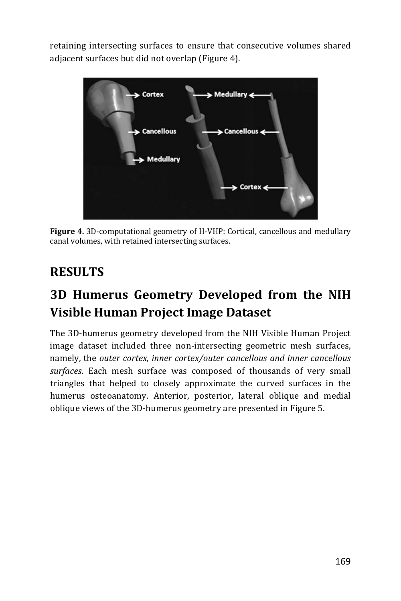retaining intersecting surfaces to ensure that consecutive volumes shared adjacent surfaces but did not overlap (Figure 4).



Figure 4. 3D-computational geometry of H-VHP: Cortical, cancellous and medullary canal volumes, with retained intersecting surfaces.

### **RESULTS**

### 3D Humerus Geometry Developed from the NIH Visible Human Project Image Dataset

The 3D-humerus geometry developed from the NIH Visible Human Project image dataset included three non-intersecting geometric mesh surfaces, namely, the outer cortex, inner cortex/outer cancellous and inner cancellous surfaces. Each mesh surface was composed of thousands of very small triangles that helped to closely approximate the curved surfaces in the humerus osteoanatomy. Anterior, posterior, lateral oblique and medial oblique views of the 3D-humerus geometry are presented in Figure 5.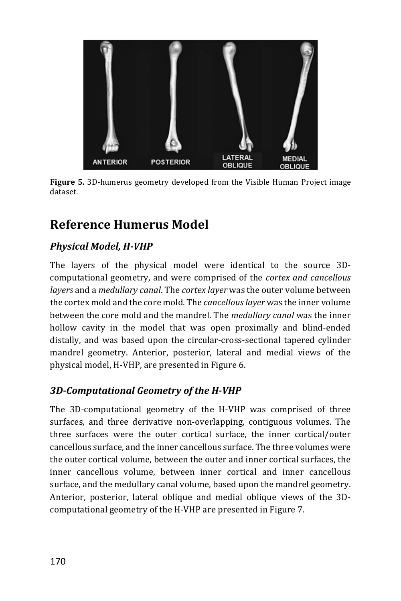

Figure 5. 3D-humerus geometry developed from the Visible Human Project image dataset.

### Reference Humerus Model

#### **Physical Model, H-VHP**

The layers of the physical model were identical to the source 3Dcomputational geometry, and were comprised of the cortex and cancellous layers and a medullary canal. The cortex layer was the outer volume between the cortex mold and the core mold. The *cancellous layer* was the inner volume between the core mold and the mandrel. The *medullary canal* was the inner hollow cavity in the model that was open proximally and blind-ended distally, and was based upon the circular-cross-sectional tapered cylinder mandrel geometry. Anterior, posterior, lateral and medial views of the physical model, H-VHP, are presented in Figure 6.

#### 3D-Computational Geometry of the H-VHP

The 3D-computational geometry of the H-VHP was comprised of three surfaces, and three derivative non-overlapping, contiguous volumes. The three surfaces were the outer cortical surface, the inner cortical/outer cancellous surface, and the inner cancellous surface. The three volumes were the outer cortical volume, between the outer and inner cortical surfaces, the inner cancellous volume, between inner cortical and inner cancellous surface, and the medullary canal volume, based upon the mandrel geometry. Anterior, posterior, lateral oblique and medial oblique views of the 3Dcomputational geometry of the H-VHP are presented in Figure 7.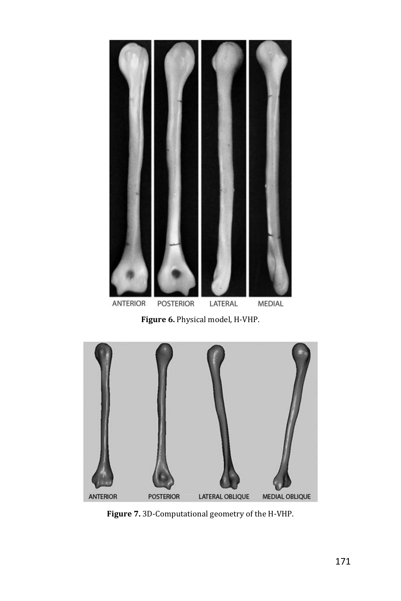

Figure 6. Physical model, H-VHP.



Figure 7. 3D-Computational geometry of the H-VHP.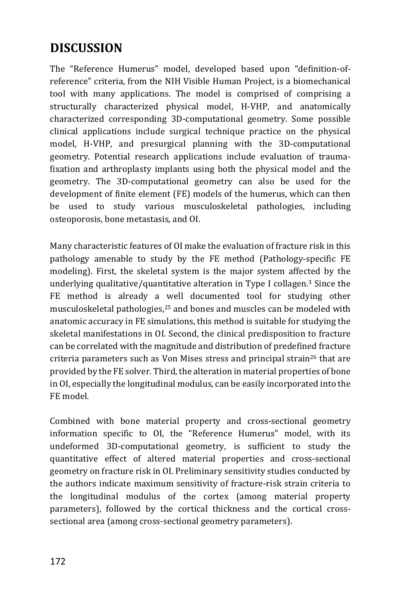### **DISCUSSION**

The "Reference Humerus" model, developed based upon "definition-ofreference" criteria, from the NIH Visible Human Project, is a biomechanical tool with many applications. The model is comprised of comprising a structurally characterized physical model, H-VHP, and anatomically characterized corresponding 3D-computational geometry. Some possible clinical applications include surgical technique practice on the physical model, H-VHP, and presurgical planning with the 3D-computational geometry. Potential research applications include evaluation of traumafixation and arthroplasty implants using both the physical model and the geometry. The 3D-computational geometry can also be used for the development of finite element (FE) models of the humerus, which can then be used to study various musculoskeletal pathologies, including osteoporosis, bone metastasis, and OI.

Many characteristic features of OI make the evaluation of fracture risk in this pathology amenable to study by the FE method (Pathology-specific FE modeling). First, the skeletal system is the major system affected by the underlying qualitative/quantitative alteration in Type I collagen.<sup>3</sup> Since the FE method is already a well documented tool for studying other musculoskeletal pathologies,<sup>25</sup> and bones and muscles can be modeled with anatomic accuracy in FE simulations, this method is suitable for studying the skeletal manifestations in OI. Second, the clinical predisposition to fracture can be correlated with the magnitude and distribution of predefined fracture criteria parameters such as Von Mises stress and principal strain<sup>26</sup> that are provided by the FE solver. Third, the alteration in material properties of bone in OI, especially the longitudinal modulus, can be easily incorporated into the FE model.

Combined with bone material property and cross-sectional geometry information specific to OI, the "Reference Humerus" model, with its undeformed 3D-computational geometry, is sufficient to study the quantitative effect of altered material properties and cross-sectional geometry on fracture risk in OI. Preliminary sensitivity studies conducted by the authors indicate maximum sensitivity of fracture-risk strain criteria to the longitudinal modulus of the cortex (among material property parameters), followed by the cortical thickness and the cortical crosssectional area (among cross-sectional geometry parameters).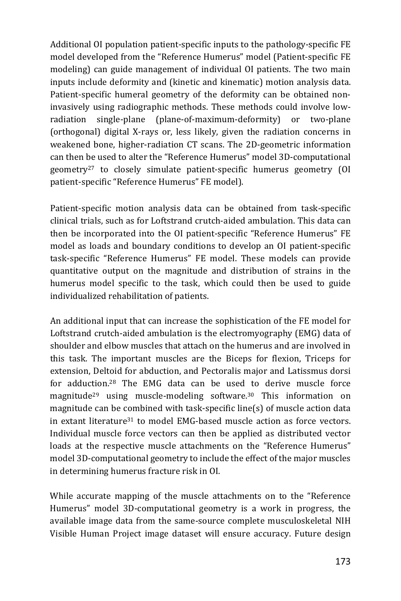Additional OI population patient-specific inputs to the pathology-specific FE model developed from the "Reference Humerus" model (Patient-specific FE modeling) can guide management of individual OI patients. The two main inputs include deformity and (kinetic and kinematic) motion analysis data. Patient-specific humeral geometry of the deformity can be obtained noninvasively using radiographic methods. These methods could involve lowsingle-plane (plane-of-maximum-deformity) or two-plane radiation (orthogonal) digital X-rays or, less likely, given the radiation concerns in weakened bone, higher-radiation CT scans. The 2D-geometric information can then be used to alter the "Reference Humerus" model 3D-computational geometry<sup>27</sup> to closely simulate patient-specific humerus geometry (OI patient-specific "Reference Humerus" FE model).

Patient-specific motion analysis data can be obtained from task-specific clinical trials, such as for Loftstrand crutch-aided ambulation. This data can then be incorporated into the OI patient-specific "Reference Humerus" FE model as loads and boundary conditions to develop an OI patient-specific task-specific "Reference Humerus" FE model. These models can provide quantitative output on the magnitude and distribution of strains in the humerus model specific to the task, which could then be used to guide individualized rehabilitation of patients.

An additional input that can increase the sophistication of the FE model for Loftstrand crutch-aided ambulation is the electromyography (EMG) data of shoulder and elbow muscles that attach on the humerus and are involved in this task. The important muscles are the Biceps for flexion, Triceps for extension, Deltoid for abduction, and Pectoralis major and Latissmus dorsi for adduction.<sup>28</sup> The EMG data can be used to derive muscle force magnitude<sup>29</sup> using muscle-modeling software.<sup>30</sup> This information on magnitude can be combined with task-specific line(s) of muscle action data in extant literature<sup>31</sup> to model EMG-based muscle action as force vectors. Individual muscle force vectors can then be applied as distributed vector loads at the respective muscle attachments on the "Reference Humerus" model 3D-computational geometry to include the effect of the major muscles in determining humerus fracture risk in OI.

While accurate mapping of the muscle attachments on to the "Reference" Humerus" model 3D-computational geometry is a work in progress, the available image data from the same-source complete musculoskeletal NIH Visible Human Project image dataset will ensure accuracy. Future design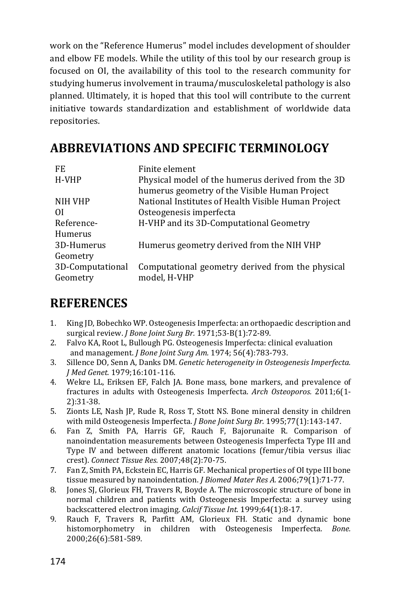work on the "Reference Humerus" model includes development of shoulder and elbow FE models. While the utility of this tool by our research group is focused on OI, the availability of this tool to the research community for studying humerus involvement in trauma/musculoskeletal pathology is also planned. Ultimately, it is hoped that this tool will contribute to the current initiative towards standardization and establishment of worldwide data repositories.

### **ABBREVIATIONS AND SPECIFIC TERMINOLOGY**

| FF.              | Finite element                                      |
|------------------|-----------------------------------------------------|
| H-VHP            | Physical model of the humerus derived from the 3D   |
|                  | humerus geometry of the Visible Human Project       |
| NIH VHP          | National Institutes of Health Visible Human Project |
| ΩI               | Osteogenesis imperfecta                             |
| Reference-       | H-VHP and its 3D-Computational Geometry             |
| Humerus          |                                                     |
| 3D-Humerus       | Humerus geometry derived from the NIH VHP           |
| Geometry         |                                                     |
| 3D-Computational | Computational geometry derived from the physical    |
| Geometry         | model, H-VHP                                        |

### **REFERENCES**

- $1<sub>1</sub>$ King JD, Bobechko WP. Osteogenesis Imperfecta: an orthopaedic description and surgical review. *J Bone Joint Surg Br.* 1971;53-B(1):72-89.
- $2.$ Falvo KA, Root L, Bullough PG. Osteogenesis Imperfecta: clinical evaluation and management. *J Bone Joint Surg Am.* 1974; 56(4):783-793.
- Sillence DO, Senn A, Danks DM. Genetic heterogeneity in Osteogenesis Imperfecta.  $3.$ J Med Genet. 1979;16:101-116.
- 4. Wekre LL, Eriksen EF, Falch JA. Bone mass, bone markers, and prevalence of fractures in adults with Osteogenesis Imperfecta. Arch Osteoporos. 2011;6(1- $2):31-38.$
- 5. Zionts LE, Nash JP, Rude R, Ross T, Stott NS. Bone mineral density in children with mild Osteogenesis Imperfecta. J Bone Joint Surg Br. 1995;77(1):143-147.
- 6. Fan Z, Smith PA, Harris GF, Rauch F, Bajorunaite R. Comparison of nanoindentation measurements between Osteogenesis Imperfecta Type III and Type IV and between different anatomic locations (femur/tibia versus iliac crest). Connect Tissue Res. 2007;48(2):70-75.
- 7. Fan Z, Smith PA, Eckstein EC, Harris GF. Mechanical properties of OI type III bone tissue measured by nanoindentation. J Biomed Mater Res A. 2006;79(1):71-77.
- 8. Jones SJ, Glorieux FH, Travers R, Boyde A. The microscopic structure of bone in normal children and patients with Osteogenesis Imperfecta: a survey using backscattered electron imaging. Calcif Tissue Int. 1999;64(1):8-17.
- Rauch F, Travers R, Parfitt AM, Glorieux FH. Static and dynamic bone 9. histomorphometry in children with Osteogenesis Imperfecta. Bone. 2000;26(6):581-589.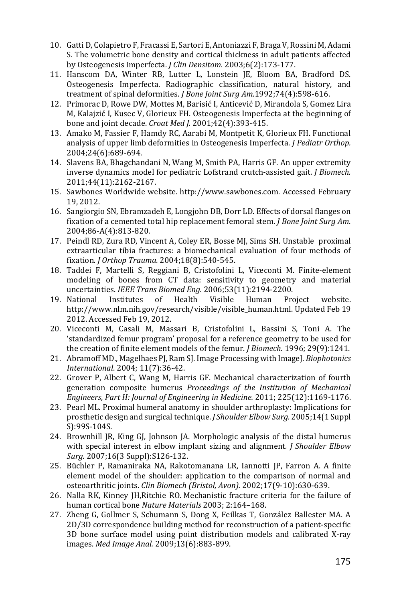- 10. Gatti D, Colapietro F, Fracassi E, Sartori E, Antoniazzi F, Braga V, Rossini M, Adami S. The volumetric bone density and cortical thickness in adult patients affected by Osteogenesis Imperfecta. J Clin Densitom. 2003;6(2):173-177.
- 11. Hanscom DA, Winter RB, Lutter L, Lonstein JE, Bloom BA, Bradford DS. Osteogenesis Imperfecta. Radiographic classification, natural history, and treatment of spinal deformities. J Bone Joint Surg Am.1992;74(4):598-616.
- 12. Primorac D, Rowe DW, Mottes M, Barisić I, Anticević D, Mirandola S, Gomez Lira M, Kalajzić I, Kusec V, Glorieux FH. Osteogenesis Imperfecta at the beginning of bone and joint decade. Croat Med J. 2001;42(4):393-415.
- 13. Amako M, Fassier F, Hamdy RC, Aarabi M, Montpetit K, Glorieux FH. Functional analysis of upper limb deformities in Osteogenesis Imperfecta. *J Pediatr Orthop.* 2004;24(6):689-694.
- 14. Slavens BA, Bhagchandani N, Wang M, Smith PA, Harris GF. An upper extremity inverse dynamics model for pediatric Lofstrand crutch-assisted gait. J Biomech. 2011;44(11):2162-2167.
- 15. Sawbones Worldwide website. http://www.sawbones.com. Accessed February 19.2012.
- 16. Sangiorgio SN, Ebramzadeh E, Longjohn DB, Dorr LD. Effects of dorsal flanges on fixation of a cemented total hip replacement femoral stem. J Bone Joint Surg Am. 2004;86-A(4):813-820.
- 17. Peindl RD, Zura RD, Vincent A, Coley ER, Bosse MJ, Sims SH. Unstable proximal extraarticular tibia fractures: a biomechanical evaluation of four methods of fixation. *J Orthop Trauma.* 2004;18(8):540-545.
- 18. Taddei F, Martelli S, Reggiani B, Cristofolini L, Viceconti M. Finite-element modeling of bones from CT data: sensitivity to geometry and material uncertainties. IEEE Trans Biomed Eng. 2006;53(11):2194-2200.
- Institutes of Health Visible 19. National Human Project website. http://www.nlm.nih.gov/research/visible/visible\_human.html. Updated Feb 19 2012. Accessed Feb 19, 2012.
- 20. Viceconti M, Casali M, Massari B, Cristofolini L, Bassini S, Toni A. The 'standardized femur program' proposal for a reference geometry to be used for the creation of finite element models of the femur. *J Biomech*. 1996; 29(9):1241.
- 21. Abramoff MD., Magelhaes PJ, Ram SJ. Image Processing with ImageJ. Biophotonics International. 2004; 11(7):36-42.
- 22. Grover P, Albert C, Wang M, Harris GF. Mechanical characterization of fourth generation composite humerus Proceedings of the Institution of Mechanical Engineers, Part H: Journal of Engineering in Medicine. 2011; 225(12):1169-1176.
- 23. Pearl ML. Proximal humeral anatomy in shoulder arthroplasty: Implications for prosthetic design and surgical technique. *J Shoulder Elbow Surg.* 2005;14(1 Suppl S<sub>1:99S-104S</sub>.
- 24. Brownhill JR, King GJ, Johnson JA. Morphologic analysis of the distal humerus with special interest in elbow implant sizing and alignment. J Shoulder Elbow Surg. 2007;16(3 Suppl):S126-132.
- 25. Büchler P, Ramaniraka NA, Rakotomanana LR, Iannotti JP, Farron A. A finite element model of the shoulder: application to the comparison of normal and osteoarthritic joints. Clin Biomech (Bristol, Avon). 2002;17(9-10):630-639.
- 26. Nalla RK, Kinney JH, Ritchie RO. Mechanistic fracture criteria for the failure of human cortical bone Nature Materials 2003; 2:164-168.
- 27. Zheng G, Gollmer S, Schumann S, Dong X, Feilkas T, González Ballester MA. A 2D/3D correspondence building method for reconstruction of a patient-specific 3D bone surface model using point distribution models and calibrated X-ray images. Med Image Anal. 2009;13(6):883-899.